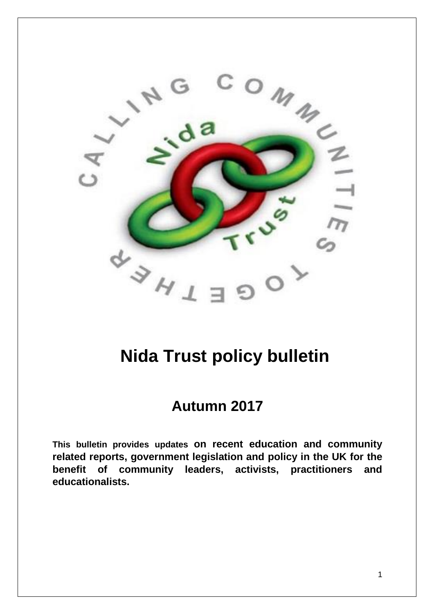

# **Nida Trust policy bulletin**

## **Autumn 2017**

**This bulletin provides updates on recent education and community related reports, government legislation and policy in the UK for the benefit of community leaders, activists, practitioners and educationalists.**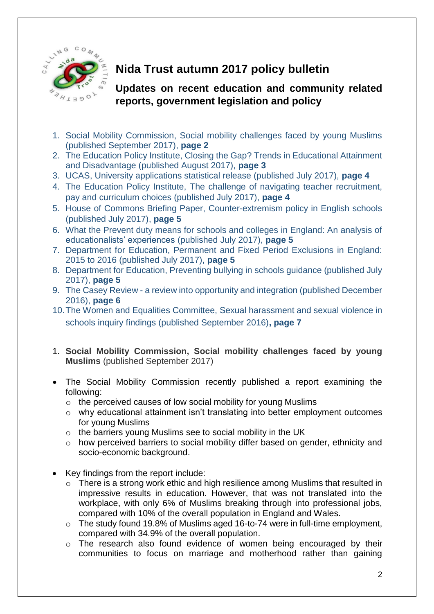

### **Nida Trust autumn 2017 policy bulletin**

#### **Updates on recent education and community related reports, government legislation and policy**

- 1. Social Mobility Commission, Social mobility challenges faced by young Muslims (published September 2017), **page 2**
- 2. The Education Policy Institute, Closing the Gap? Trends in Educational Attainment and Disadvantage (published August 2017), **page 3**
- 3. UCAS, University applications statistical release (published July 2017), **page 4**
- 4. The Education Policy Institute, The challenge of navigating teacher recruitment, pay and curriculum choices (published July 2017), **page 4**
- 5. House of Commons Briefing Paper, Counter-extremism policy in English schools (published July 2017), **page 5**
- 6. What the Prevent duty means for schools and colleges in England: An analysis of educationalists' experiences (published July 2017), **page 5**
- 7. Department for Education, Permanent and Fixed Period Exclusions in England: 2015 to 2016 (published July 2017), **page 5**
- 8. Department for Education, Preventing bullying in schools guidance (published July 2017), **page 5**
- 9. The Casey Review a review into opportunity and integration (published December 2016), **page 6**
- 10.The Women and Equalities Committee, Sexual harassment and sexual violence in schools inquiry findings (published September 2016)**, page 7**
- 1. **Social Mobility Commission, Social mobility challenges faced by young Muslims** (published September 2017)
- The Social Mobility Commission recently published a report examining the following:
	- o the perceived causes of low social mobility for young Muslims
	- o why educational attainment isn't translating into better employment outcomes for young Muslims
	- o the barriers young Muslims see to social mobility in the UK
	- o how perceived barriers to social mobility differ based on gender, ethnicity and socio-economic background.
- Key findings from the report include:
	- o There is a strong work ethic and high resilience among Muslims that resulted in impressive results in education. However, that was not translated into the workplace, with only 6% of Muslims breaking through into professional jobs, compared with 10% of the overall population in England and Wales.
	- o The study found 19.8% of Muslims aged 16-to-74 were in full-time employment, compared with 34.9% of the overall population.
	- o The research also found evidence of [women being encouraged](https://www.theguardian.com/global-development/2017/sep/04/we-are-an-example-to-the-arab-world-tunisias-radical-marriage-proposals) by their communities to focus on marriage and motherhood rather than gaining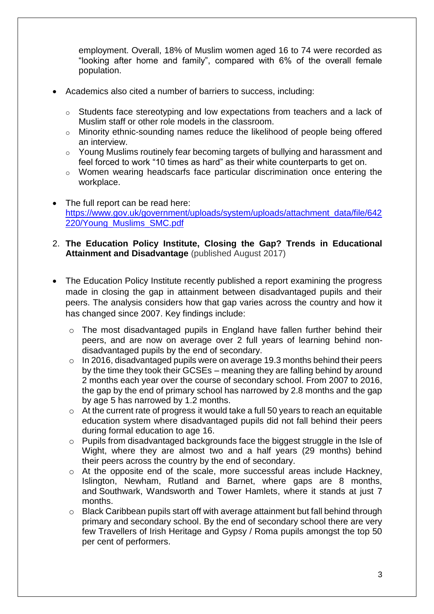employment. Overall, 18% of Muslim women aged 16 to 74 were recorded as "looking after home and family", compared with 6% of the overall female population.

- Academics also cited a number of barriers to success, including:
	- o Students face stereotyping and low expectations from teachers and a lack of Muslim staff or other role models in the classroom.
	- o Minority ethnic-sounding names reduce the likelihood of people being offered an interview.
	- o Young Muslims routinely fear becoming targets of bullying and harassment and feel forced to work "10 times as hard" as their white counterparts to get on.
	- o [Women wearing headscarfs](https://www.theguardian.com/commentisfree/2016/dec/06/louise-casey-discrimination-muslim-women-bradford) face particular discrimination once entering the workplace.
- The full report can be read here: [https://www.gov.uk/government/uploads/system/uploads/attachment\\_data/file/642](https://www.gov.uk/government/uploads/system/uploads/attachment_data/file/642220/Young_Muslims_SMC.pdf) [220/Young\\_Muslims\\_SMC.pdf](https://www.gov.uk/government/uploads/system/uploads/attachment_data/file/642220/Young_Muslims_SMC.pdf)
- 2. **The Education Policy Institute, Closing the Gap? Trends in Educational Attainment and Disadvantage** (published August 2017)
- The Education Policy Institute recently published a report examining the progress made in closing the gap in attainment between disadvantaged pupils and their peers. The analysis considers how that gap varies across the country and how it has changed since 2007. Key findings include:
	- o The most disadvantaged pupils in England have fallen further behind their peers, and are now on average over 2 full years of learning behind nondisadvantaged pupils by the end of secondary.
	- $\circ$  In 2016, disadvantaged pupils were on average 19.3 months behind their peers by the time they took their GCSEs – meaning they are falling behind by around 2 months each year over the course of secondary school. From 2007 to 2016, the gap by the end of primary school has narrowed by 2.8 months and the gap by age 5 has narrowed by 1.2 months.
	- o At the current rate of progress it would take a full 50 years to reach an equitable education system where disadvantaged pupils did not fall behind their peers during formal education to age 16.
	- o Pupils from disadvantaged backgrounds face the biggest struggle in the Isle of Wight, where they are almost two and a half years (29 months) behind their peers across the country by the end of secondary.
	- $\circ$  At the opposite end of the scale, more successful areas include Hackney, Islington, Newham, Rutland and Barnet, where gaps are 8 months, and Southwark, Wandsworth and Tower Hamlets, where it stands at just 7 months.
	- $\circ$  Black Caribbean pupils start off with average attainment but fall behind through primary and secondary school. By the end of secondary school there are very few Travellers of Irish Heritage and Gypsy / Roma pupils amongst the top 50 per cent of performers.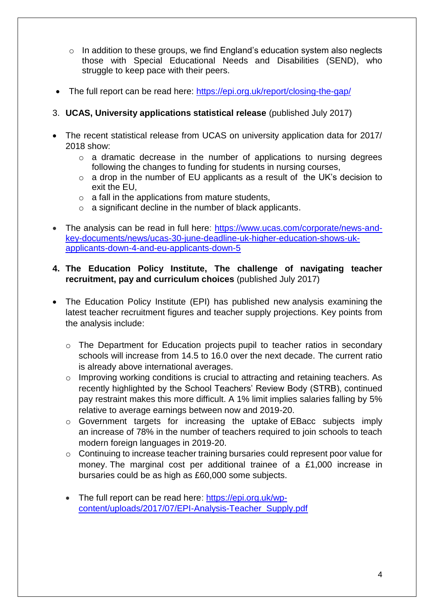- $\circ$  In addition to these groups, we find England's education system also neglects those with Special Educational Needs and Disabilities (SEND), who struggle to keep pace with their peers.
- The full report can be read here:<https://epi.org.uk/report/closing-the-gap/>
- 3. **UCAS, University applications statistical release** (published July 2017)
- The recent statistical release from UCAS on university application data for 2017/ 2018 show:
	- $\circ$  a dramatic decrease in the number of applications to nursing degrees following the changes to funding for students in nursing courses,
	- o a drop in the number of EU applicants as a result of the UK's decision to exit the EU,
	- $\circ$  a fall in the applications from mature students,
	- o a significant decline in the number of black applicants.
- The analysis can be read in full here: [https://www.ucas.com/corporate/news-and](https://www.ucas.com/corporate/news-and-key-documents/news/ucas-30-june-deadline-uk-higher-education-shows-uk-applicants-down-4-and-eu-applicants-down-5)[key-documents/news/ucas-30-june-deadline-uk-higher-education-shows-uk](https://www.ucas.com/corporate/news-and-key-documents/news/ucas-30-june-deadline-uk-higher-education-shows-uk-applicants-down-4-and-eu-applicants-down-5)[applicants-down-4-and-eu-applicants-down-5](https://www.ucas.com/corporate/news-and-key-documents/news/ucas-30-june-deadline-uk-higher-education-shows-uk-applicants-down-4-and-eu-applicants-down-5)
- **4. The Education Policy Institute, The challenge of navigating teacher recruitment, pay and curriculum choices** (published July 2017)
- The Education Policy Institute (EPI) has published new analysis examining the latest teacher recruitment figures and teacher supply projections. Key points from the analysis include:
	- o The Department for Education projects pupil to teacher ratios in secondary schools will increase from 14.5 to 16.0 over the next decade. The current ratio is already above international averages.
	- o Improving working conditions is crucial to attracting and retaining teachers. As recently highlighted by the School Teachers' Review Body (STRB), continued pay restraint makes this more difficult. A 1% limit implies salaries falling by 5% relative to average earnings between now and 2019-20.
	- o Government targets for increasing the uptake of EBacc subjects imply an increase of 78% in the number of teachers required to join schools to teach modern foreign languages in 2019-20.
	- o Continuing to increase teacher training bursaries could represent poor value for money. The marginal cost per additional trainee of a £1,000 increase in bursaries could be as high as £60,000 some subjects.
	- The full report can be read here: [https://epi.org.uk/wp](https://epi.org.uk/wp-content/uploads/2017/07/EPI-Analysis-Teacher_Supply.pdf)[content/uploads/2017/07/EPI-Analysis-Teacher\\_Supply.pdf](https://epi.org.uk/wp-content/uploads/2017/07/EPI-Analysis-Teacher_Supply.pdf)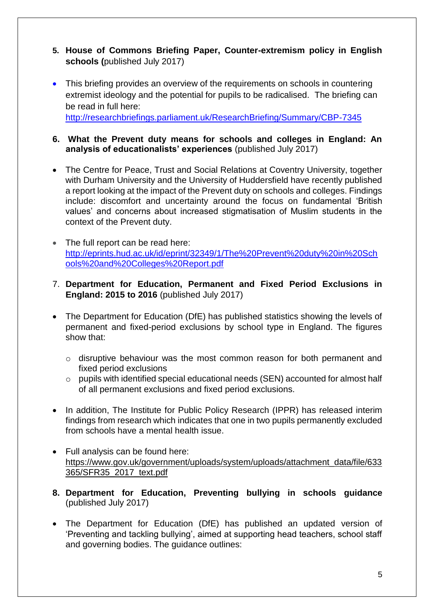- **5. House of Commons Briefing Paper, Counter-extremism policy in English schools (**published July 2017)
- This briefing provides an overview of the requirements on schools in countering extremist ideology and the potential for pupils to be radicalised. The briefing can be read in full here: <http://researchbriefings.parliament.uk/ResearchBriefing/Summary/CBP-7345>
- **6. What the Prevent duty means for schools and colleges in England: An analysis of educationalists' experiences** (published July 2017)
- The Centre for Peace, Trust and Social Relations at Coventry University, together with Durham University and the University of Huddersfield have recently published a report looking at the impact of the Prevent duty on schools and colleges. Findings include: discomfort and uncertainty around the focus on fundamental 'British values' and concerns about increased stigmatisation of Muslim students in the context of the Prevent duty.
- The full report can be read here: [http://eprints.hud.ac.uk/id/eprint/32349/1/The%20Prevent%20duty%20in%20Sch](http://eprints.hud.ac.uk/id/eprint/32349/1/The%20Prevent%20duty%20in%20Schools%20and%20Colleges%20Report.pdf) [ools%20and%20Colleges%20Report.pdf](http://eprints.hud.ac.uk/id/eprint/32349/1/The%20Prevent%20duty%20in%20Schools%20and%20Colleges%20Report.pdf)
- 7. **Department for Education, Permanent and Fixed Period Exclusions in England: 2015 to 2016** (published July 2017)
- The Department for Education (DfE) has published statistics showing the levels of permanent and fixed-period exclusions by school type in England. The figures show that:
	- o disruptive behaviour was the most common reason for both permanent and fixed period exclusions
	- o pupils with identified special educational needs (SEN) accounted for almost half of all permanent exclusions and fixed period exclusions.
- In addition, The Institute for Public Policy Research (IPPR) has released interim findings from research which indicates that one in two pupils permanently excluded from schools have a mental health issue.
- Full analysis can be found here: [https://www.gov.uk/government/uploads/system/uploads/attachment\\_data/file/633](https://www.gov.uk/government/uploads/system/uploads/attachment_data/file/633365/SFR35_2017_text.pdf) [365/SFR35\\_2017\\_text.pdf](https://www.gov.uk/government/uploads/system/uploads/attachment_data/file/633365/SFR35_2017_text.pdf)
- **8. Department for Education, Preventing bullying in schools guidance**  (published July 2017)
- The Department for Education (DfE) has published an updated version of 'Preventing and tackling bullying', aimed at supporting head teachers, school staff and governing bodies. The guidance outlines: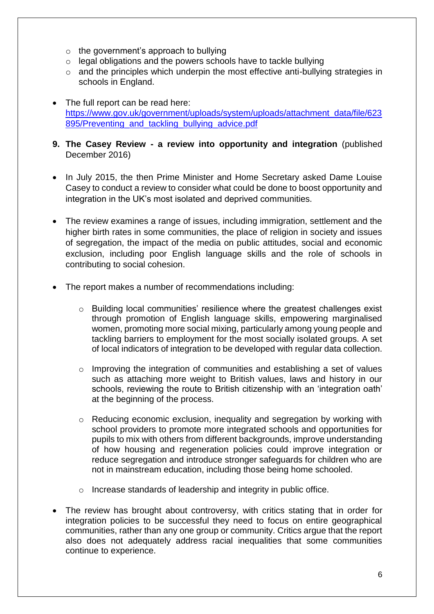- $\circ$  the government's approach to bullying
- o legal obligations and the powers schools have to tackle bullying
- $\circ$  and the principles which underpin the most effective anti-bullying strategies in schools in England.
- The full report can be read here: [https://www.gov.uk/government/uploads/system/uploads/attachment\\_data/file/623](https://www.gov.uk/government/uploads/system/uploads/attachment_data/file/623895/Preventing_and_tackling_bullying_advice.pdf) 895/Preventing\_and\_tackling\_bullying\_advice.pdf
- **9. The Casey Review - a review into opportunity and integration** (published December 2016)
- In July 2015, the then Prime Minister and Home Secretary asked Dame Louise Casey to conduct a review to consider what could be done to boost opportunity and integration in the UK's most isolated and deprived communities.
- The review examines a range of issues, including immigration, settlement and the higher birth rates in some communities, the place of religion in society and issues of segregation, the impact of the media on public attitudes, social and economic exclusion, including poor English language skills and the role of schools in contributing to social cohesion.
- The report makes a number of recommendations including:
	- o Building local communities' resilience where the greatest challenges exist through promotion of English language skills, empowering marginalised women, promoting more social mixing, particularly among young people and tackling barriers to employment for the most socially isolated groups. A set of local indicators of integration to be developed with regular data collection.
	- o Improving the integration of communities and establishing a set of values such as attaching more weight to British values, laws and history in our schools, reviewing the route to British citizenship with an 'integration oath' at the beginning of the process.
	- o Reducing economic exclusion, inequality and segregation by working with school providers to promote more integrated schools and opportunities for pupils to mix with others from different backgrounds, improve understanding of how housing and regeneration policies could improve integration or reduce segregation and introduce stronger safeguards for children who are not in mainstream education, including those being home schooled.
	- o Increase standards of leadership and integrity in public office.
- The review has brought about controversy, with critics stating that in order for integration policies to be successful they need to focus on entire geographical communities, rather than any one group or community. Critics argue that the report also does not adequately address racial inequalities that some communities continue to experience.